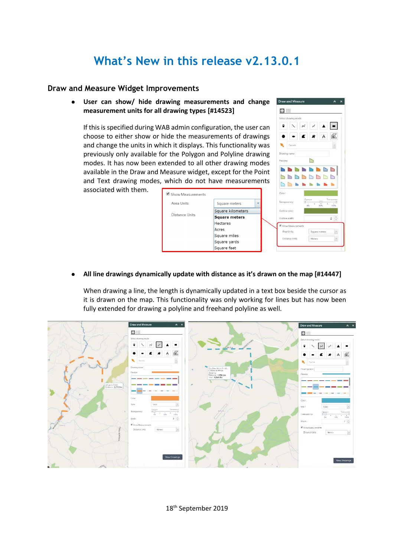# **What's New in this release v2.13.0.1**

### **Draw and Measure Widget Improvements**

**User can show/ hide drawing measurements and change measurement units for all drawing types [#14523]**

If this is specified during WAB admin configuration, the user can choose to either show or hide the measurements of drawings and change the units in which it displays. This functionality was previously only available for the Polygon and Polyline drawing modes. It has now been extended to all other drawing modes available in the Draw and Measure widget, except for the Point and Text drawing modes, which do not have measurements

associated with them.

| Show Measurements |                      | Color:       |
|-------------------|----------------------|--------------|
| Area Units        | Square meters        | Transparent  |
| Distance Units    | Square kilometers    | Outline coli |
|                   | <b>Square meters</b> | Outline wid  |
|                   | <b>Hectares</b>      | Show Me      |
|                   | Acres                | Area Uni     |
|                   | Square miles         | Distance     |
|                   | Square yards         |              |
|                   | Square feet          |              |
|                   |                      |              |



#### **All line drawings dynamically update with distance as it's drawn on the map [#14447]**

When drawing a line, the length is dynamically updated in a text box beside the cursor as it is drawn on the map. This functionality was only working for lines but has now been fully extended for drawing a polyline and freehand polyline as well.



18<sup>th</sup> September 2019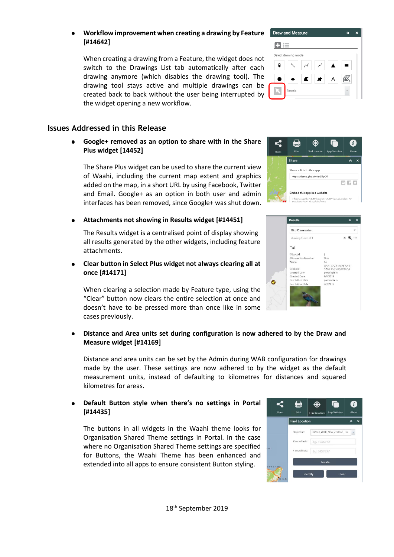### **Workflow improvement when creating a drawing by Feature [#14642]**

When creating a drawing from a Feature, the widget does not switch to the Drawings List tab automatically after each drawing anymore (which disables the drawing tool). The drawing tool stays active and multiple drawings can be created back to back without the user being interrupted by the widget opening a new workflow.

# **Issues Addressed in this Release**

**Google+ removed as an option to share with in the Share Plus widget [14452]**

The Share Plus widget can be used to share the current view of Waahi, including the current map extent and graphics added on the map, in a short URL by using Facebook, Twitter and Email. Google+ as an option in both user and admin interfaces has been removed, since Google+ was shut down.

## **Attachments not showing in Results widget [#14451]**

The Results widget is a centralised point of display showing all results generated by the other widgets, including feature attachments.

**Clear button in Select Plus widget not always clearing all at once [#14171]**

When clearing a selection made by Feature type, using the "Clear" button now clears the entire selection at once and doesn't have to be pressed more than once like in some cases previously.

## **Distance and Area units set during configuration is now adhered to by the Draw and Measure widget [#14169]**

Distance and area units can be set by the Admin during WAB configuration for drawings made by the user. These settings are now adhered to by the widget as the default measurement units, instead of defaulting to kilometres for distances and squared kilometres for areas.

## **Default Button style when there's no settings in Portal [#14435]**

The buttons in all widgets in the Waahi theme looks for Organisation Shared Theme settings in Portal. In the case where no Organisation Shared Theme settings are specified for Buttons, the Waahi Theme has been enhanced and extended into all apps to ensure consistent Button styling.